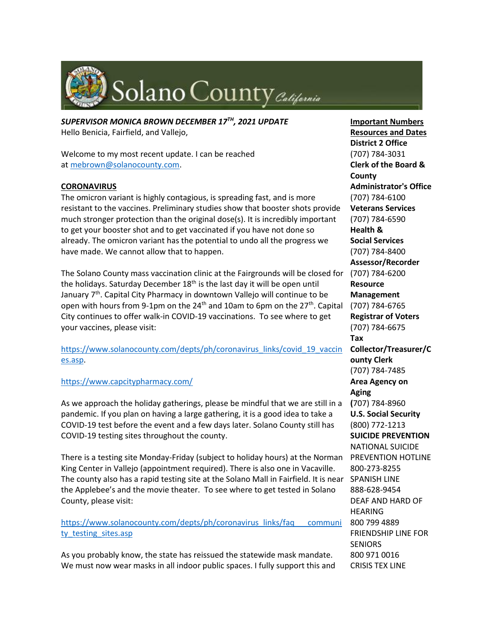

*SUPERVISOR MONICA BROWN DECEMBER 17TH, 2021 UPDATE* Hello Benicia, Fairfield, and Vallejo,

Welcome to my most recent update. I can be reached at [mebrown@solanocounty.com.](mailto:mebrown@solanocounty.com)

# **CORONAVIRUS**

The omicron variant is highly contagious, is spreading fast, and is more resistant to the vaccines. Preliminary studies show that booster shots provide much stronger protection than the original dose(s). It is incredibly important to get your booster shot and to get vaccinated if you have not done so already. The omicron variant has the potential to undo all the progress we have made. We cannot allow that to happen.

The Solano County mass vaccination clinic at the Fairgrounds will be closed for the holidays. Saturday December  $18<sup>th</sup>$  is the last day it will be open until January 7<sup>th</sup>. Capital City Pharmacy in downtown Vallejo will continue to be open with hours from 9-1pm on the  $24<sup>th</sup>$  and 10am to 6pm on the  $27<sup>th</sup>$ . Capital City continues to offer walk-in COVID-19 vaccinations. To see where to get your vaccines, please visit:

[https://www.solanocounty.com/depts/ph/coronavirus\\_links/covid\\_19\\_vaccin](https://www.solanocounty.com/depts/ph/coronavirus_links/covid_19_vaccines.asp) [es.asp.](https://www.solanocounty.com/depts/ph/coronavirus_links/covid_19_vaccines.asp)

# <https://www.capcitypharmacy.com/>

As we approach the holiday gatherings, please be mindful that we are still in a pandemic. If you plan on having a large gathering, it is a good idea to take a COVID-19 test before the event and a few days later. Solano County still has COVID-19 testing sites throughout the county.

There is a testing site Monday-Friday (subject to holiday hours) at the Norman PREVENTION HOTLINE King Center in Vallejo (appointment required). There is also one in Vacaville. The county also has a rapid testing site at the Solano Mall in Fairfield. It is near SPANISH LINE the Applebee's and the movie theater. To see where to get tested in Solano County, please visit:

[https://www.solanocounty.com/depts/ph/coronavirus\\_links/faq\\_\\_\\_communi](https://www.solanocounty.com/depts/ph/coronavirus_links/faq___community_testing_sites.asp) ty testing sites.asp

As you probably know, the state has reissued the statewide mask mandate. We must now wear masks in all indoor public spaces. I fully support this and

**Important Numbers Resources and Dates District 2 Office** (707) 784-3031 **Clerk of the Board & County Administrator's Office** (707) 784-6100 **Veterans Services** (707) 784-6590 **Health & Social Services** (707) 784-8400 **Assessor/Recorder** (707) 784-6200 **Resource Management** (707) 784-6765 **Registrar of Voters** (707) 784-6675 **Tax Collector/Treasurer/C ounty Clerk** (707) 784-7485 **Area Agency on Aging (**707) 784-8960 **U.S. Social Security** (800) 772-1213 **SUICIDE PREVENTION** NATIONAL SUICIDE 800-273-8255 888-628-9454 DEAF AND HARD OF **HEARING** 800 799 4889 FRIENDSHIP LINE FOR **SENIORS** 800 971 0016 CRISIS TEX LINE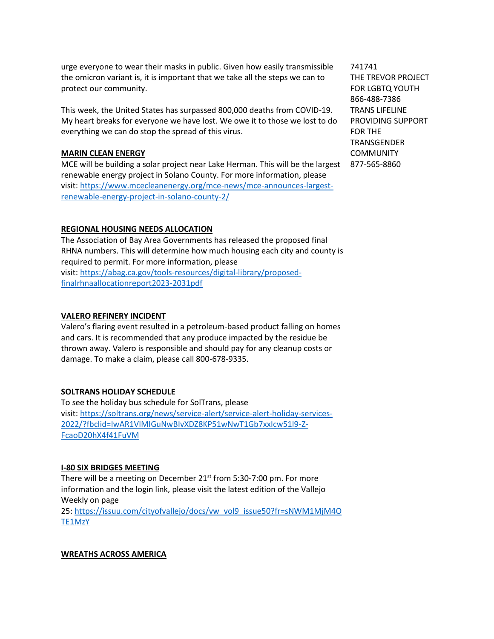urge everyone to wear their masks in public. Given how easily transmissible the omicron variant is, it is important that we take all the steps we can to protect our community.

This week, the United States has surpassed 800,000 deaths from COVID-19. My heart breaks for everyone we have lost. We owe it to those we lost to do everything we can do stop the spread of this virus.

#### **MARIN CLEAN ENERGY**

MCE will be building a solar project near Lake Herman. This will be the largest 877-565-8860renewable energy project in Solano County. For more information, please visit: [https://www.mcecleanenergy.org/mce-news/mce-announces-largest](https://www.mcecleanenergy.org/mce-news/mce-announces-largest-renewable-energy-project-in-solano-county-2/)[renewable-energy-project-in-solano-county-2/](https://www.mcecleanenergy.org/mce-news/mce-announces-largest-renewable-energy-project-in-solano-county-2/)

# **REGIONAL HOUSING NEEDS ALLOCATION**

The Association of Bay Area Governments has released the proposed final RHNA numbers. This will determine how much housing each city and county is required to permit. For more information, please visit: [https://abag.ca.gov/tools-resources/digital-library/proposed](https://abag.ca.gov/tools-resources/digital-library/proposed-finalrhnaallocationreport2023-2031pdf)[finalrhnaallocationreport2023-2031pdf](https://abag.ca.gov/tools-resources/digital-library/proposed-finalrhnaallocationreport2023-2031pdf)

#### **VALERO REFINERY INCIDENT**

Valero's flaring event resulted in a petroleum-based product falling on homes and cars. It is recommended that any produce impacted by the residue be thrown away. Valero is responsible and should pay for any cleanup costs or damage. To make a claim, please call 800-678-9335.

# **SOLTRANS HOLIDAY SCHEDULE**

To see the holiday bus schedule for SolTrans, please visit: [https://soltrans.org/news/service-alert/service-alert-holiday-services-](https://soltrans.org/news/service-alert/service-alert-holiday-services-2022/?fbclid=IwAR1VlMIGuNwBIvXDZ8KP51wNwT1Gb7xxIcw51l9-Z-FcaoD20hX4f41FuVM)[2022/?fbclid=IwAR1VlMIGuNwBIvXDZ8KP51wNwT1Gb7xxIcw51l9-Z-](https://soltrans.org/news/service-alert/service-alert-holiday-services-2022/?fbclid=IwAR1VlMIGuNwBIvXDZ8KP51wNwT1Gb7xxIcw51l9-Z-FcaoD20hX4f41FuVM)[FcaoD20hX4f41FuVM](https://soltrans.org/news/service-alert/service-alert-holiday-services-2022/?fbclid=IwAR1VlMIGuNwBIvXDZ8KP51wNwT1Gb7xxIcw51l9-Z-FcaoD20hX4f41FuVM)

#### **I-80 SIX BRIDGES MEETING**

There will be a meeting on December  $21<sup>st</sup>$  from 5:30-7:00 pm. For more information and the login link, please visit the latest edition of the Vallejo Weekly on page

25: [https://issuu.com/cityofvallejo/docs/vw\\_vol9\\_issue50?fr=sNWM1MjM4O](https://issuu.com/cityofvallejo/docs/vw_vol9_issue50?fr=sNWM1MjM4OTE1MzY) [TE1MzY](https://issuu.com/cityofvallejo/docs/vw_vol9_issue50?fr=sNWM1MjM4OTE1MzY)

# **WREATHS ACROSS AMERICA**

741741 THE TREVOR PROJECT FOR LGBTQ YOUTH 866-488-7386 TRANS LIFELINE PROVIDING SUPPORT FOR THE TRANSGENDER **COMMUNITY**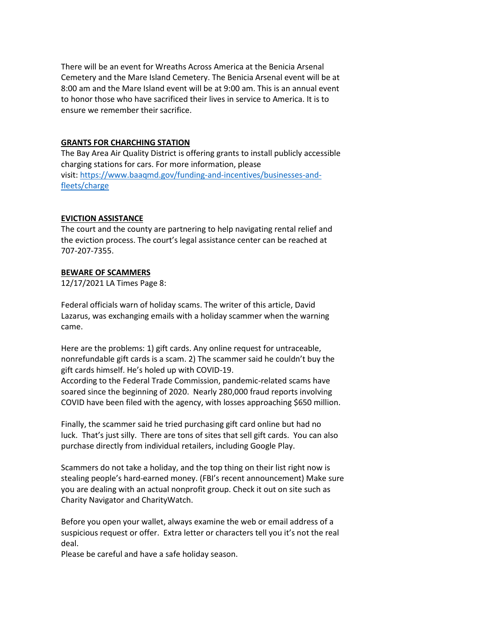There will be an event for Wreaths Across America at the Benicia Arsenal Cemetery and the Mare Island Cemetery. The Benicia Arsenal event will be at 8:00 am and the Mare Island event will be at 9:00 am. This is an annual event to honor those who have sacrificed their lives in service to America. It is to ensure we remember their sacrifice.

#### **GRANTS FOR CHARCHING STATION**

The Bay Area Air Quality District is offering grants to install publicly accessible charging stations for cars. For more information, please visit: [https://www.baaqmd.gov/funding-and-incentives/businesses-and](https://www.baaqmd.gov/funding-and-incentives/businesses-and-fleets/charge)[fleets/charge](https://www.baaqmd.gov/funding-and-incentives/businesses-and-fleets/charge)

#### **EVICTION ASSISTANCE**

The court and the county are partnering to help navigating rental relief and the eviction process. The court's legal assistance center can be reached at 707-207-7355.

# **BEWARE OF SCAMMERS**

12/17/2021 LA Times Page 8:

Federal officials warn of holiday scams. The writer of this article, David Lazarus, was exchanging emails with a holiday scammer when the warning came.

Here are the problems: 1) gift cards. Any online request for untraceable, nonrefundable gift cards is a scam. 2) The scammer said he couldn't buy the gift cards himself. He's holed up with COVID-19.

According to the Federal Trade Commission, pandemic-related scams have soared since the beginning of 2020. Nearly 280,000 fraud reports involving COVID have been filed with the agency, with losses approaching \$650 million.

Finally, the scammer said he tried purchasing gift card online but had no luck. That's just silly. There are tons of sites that sell gift cards. You can also purchase directly from individual retailers, including Google Play.

Scammers do not take a holiday, and the top thing on their list right now is stealing people's hard-earned money. (FBI's recent announcement) Make sure you are dealing with an actual nonprofit group. Check it out on site such as Charity Navigator and CharityWatch.

Before you open your wallet, always examine the web or email address of a suspicious request or offer. Extra letter or characters tell you it's not the real deal.

Please be careful and have a safe holiday season.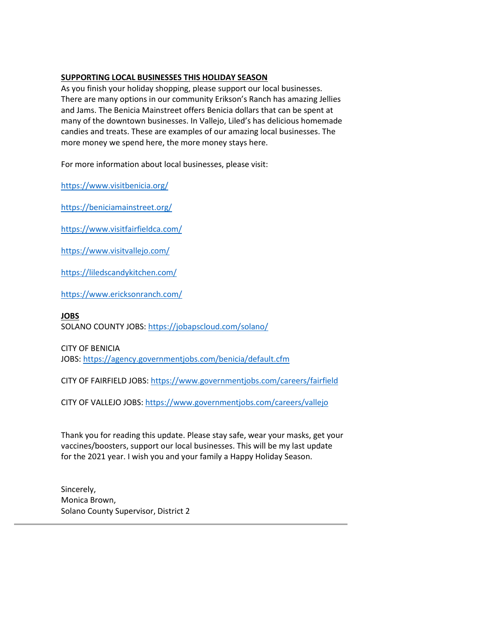# **SUPPORTING LOCAL BUSINESSES THIS HOLIDAY SEASON**

As you finish your holiday shopping, please support our local businesses. There are many options in our community Erikson's Ranch has amazing Jellies and Jams. The Benicia Mainstreet offers Benicia dollars that can be spent at many of the downtown businesses. In Vallejo, Liled's has delicious homemade candies and treats. These are examples of our amazing local businesses. The more money we spend here, the more money stays here.

For more information about local businesses, please visit:

<https://www.visitbenicia.org/>

<https://beniciamainstreet.org/>

<https://www.visitfairfieldca.com/>

<https://www.visitvallejo.com/>

<https://liledscandykitchen.com/>

<https://www.ericksonranch.com/>

#### **JOBS**

SOLANO COUNTY JOBS: <https://jobapscloud.com/solano/>

CITY OF BENICIA

JOBS: <https://agency.governmentjobs.com/benicia/default.cfm>

CITY OF FAIRFIELD JOBS: <https://www.governmentjobs.com/careers/fairfield>

CITY OF VALLEJO JOBS: <https://www.governmentjobs.com/careers/vallejo>

Thank you for reading this update. Please stay safe, wear your masks, get your vaccines/boosters, support our local businesses. This will be my last update for the 2021 year. I wish you and your family a Happy Holiday Season.

Sincerely, Monica Brown, Solano County Supervisor, District 2